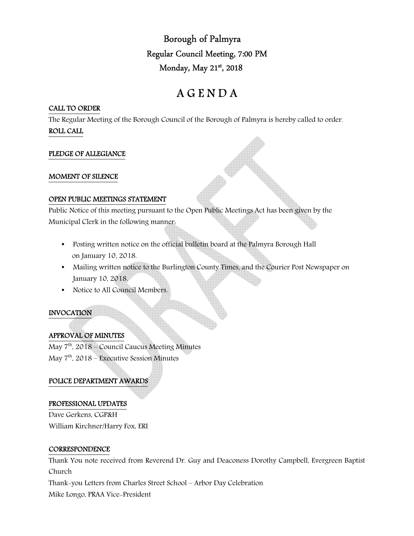Borough of Palmyra Regular Council Meeting, 7:00 PM Monday, May 21st, 2018

# A G E N D A

## CALL TO ORDER

The Regular Meeting of the Borough Council of the Borough of Palmyra is hereby called to order. ROLL CALL

# PLEDGE OF ALLEGIANCE

#### MOMENT OF SILENCE

#### OPEN PUBLIC MEETINGS STATEMENT

Public Notice of this meeting pursuant to the Open Public Meetings Act has been given by the Municipal Clerk in the following manner:

- Posting written notice on the official bulletin board at the Palmyra Borough Hall on January 10, 2018.
- Mailing written notice to the Burlington County Times, and the Courier Post Newspaper on January 10, 2018.
- Notice to All Council Members.

# INVOCATION

# APPROVAL OF MINUTES

May  $7<sup>th</sup>$ , 2018 – Council Caucus Meeting Minutes May  $7<sup>th</sup>$ , 2018 – Executive Session Minutes

# POLICE DEPARTMENT AWARDS

# PROFESSIONAL UPDATES

Dave Gerkens, CGP&H William Kirchner/Harry Fox, ERI

#### **CORRESPONDENCE**

Thank You note received from Reverend Dr. Guy and Deaconess Dorothy Campbell, Evergreen Baptist Church

Thank-you Letters from Charles Street School – Arbor Day Celebration

Mike Longo, PRAA Vice-President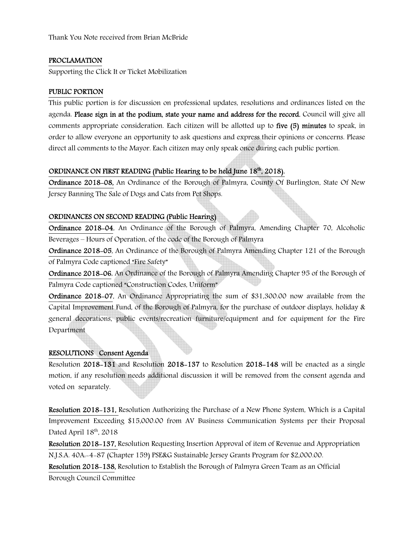Thank You Note received from Brian McBride

# PROCLAMATION

Supporting the Click It or Ticket Mobilization

## PUBLIC PORTION

This public portion is for discussion on professional updates, resolutions and ordinances listed on the agenda. Please sign in at the podium, state your name and address for the record. Council will give all comments appropriate consideration. Each citizen will be allotted up to five (5) minutes to speak, in order to allow everyone an opportunity to ask questions and express their opinions or concerns. Please direct all comments to the Mayor. Each citizen may only speak once during each public portion.

# ORDINANCE ON FIRST READING (Public Hearing to be held June  $18<sup>th</sup>$ , 2018).

Ordinance 2018-08, An Ordinance of the Borough of Palmyra, County Of Burlington, State Of New Jersey Banning The Sale of Dogs and Cats from Pet Shops.

#### ORDINANCES ON SECOND READING (Public Hearing)

Ordinance 2018-04, An Ordinance of the Borough of Palmyra, Amending Chapter 70, Alcoholic Beverages – Hours of Operation, of the code of the Borough of Palmyra

Ordinance 2018-05, An Ordinance of the Borough of Palmyra Amending Chapter 121 of the Borough of Palmyra Code captioned "Fire Safety"

Ordinance 2018-06, An Ordinance of the Borough of Palmyra Amending Chapter 95 of the Borough of Palmyra Code captioned "Construction Codes, Uniform"

Ordinance 2018-07, An Ordinance Appropriating the sum of \$31,300.00 now available from the Capital Improvement Fund, of the Borough of Palmyra, for the purchase of outdoor displays, holiday & general decorations, public events/recreation furniture/equipment and for equipment for the Fire Department

#### RESOLUTIONS Consent Agenda

Resolution 2018-131 and Resolution 2018-137 to Resolution 2018-148 will be enacted as a single motion, if any resolution needs additional discussion it will be removed from the consent agenda and voted on separately.

Resolution 2018-131, Resolution Authorizing the Purchase of a New Phone System, Which is a Capital Improvement Exceeding \$15,000.00 from AV Business Communication Systems per their Proposal Dated April 18<sup>th</sup>, 2018

Resolution 2018-137, Resolution Requesting Insertion Approval of item of Revenue and Appropriation N.J.S.A. 40A:-4-87 (Chapter 159) PSE&G Sustainable Jersey Grants Program for \$2,000.00.

Resolution 2018-138, Resolution to Establish the Borough of Palmyra Green Team as an Official Borough Council Committee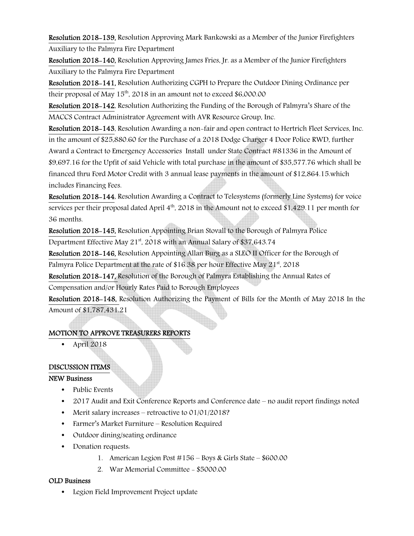Resolution 2018-139, Resolution Approving Mark Bankowski as a Member of the Junior Firefighters Auxiliary to the Palmyra Fire Department

Resolution 2018-140, Resolution Approving James Fries, Jr. as a Member of the Junior Firefighters Auxiliary to the Palmyra Fire Department

Resolution 2018-141, Resolution Authorizing CGPH to Prepare the Outdoor Dining Ordinance per their proposal of May  $15<sup>th</sup>$ , 2018 in an amount not to exceed \$6,000.00

Resolution 2018-142, Resolution Authorizing the Funding of the Borough of Palmyra's Share of the MACCS Contract Administrator Agreement with AVR Resource Group, Inc.

Resolution 2018-143, Resolution Awarding a non-fair and open contract to Hertrich Fleet Services, Inc. in the amount of \$25,880.60 for the Purchase of a 2018 Dodge Charger 4 Door Police RWD, further Award a Contract to Emergency Accessories Install under State Contract #81336 in the Amount of \$9,697.16 for the Upfit of said Vehicle with total purchase in the amount of \$35,577.76 which shall be financed thru Ford Motor Credit with 3 annual lease payments in the amount of \$12,864.15.which includes Financing Fees.

Resolution 2018-144, Resolution Awarding a Contract to Telesystems (formerly Line Systems) for voice services per their proposal dated April  $4<sup>th</sup>$ , 2018 in the Amount not to exceed \$1,429.11 per month for 36 months.

Resolution 2018-145, Resolution Appointing Brian Stovall to the Borough of Palmyra Police Department Effective May 21<sup>st</sup>, 2018 with an Annual Salary of \$37,643.74

Resolution 2018-146, Resolution Appointing Allan Burg as a SLEO II Officer for the Borough of Palmyra Police Department at the rate of \$16.38 per hour Effective May  $21^{st}$ , 2018

Resolution 2018-147, Resolution of the Borough of Palmyra Establishing the Annual Rates of Compensation and/or Hourly Rates Paid to Borough Employees

Resolution 2018-148, Resolution Authorizing the Payment of Bills for the Month of May 2018 In the Amount of \$1,787,431.21

# MOTION TO APPROVE TREASURERS REPORTS

• April 2018

# DISCUSSION ITEMS

# NEW Business

- Public Events
- 2017 Audit and Exit Conference Reports and Conference date no audit report findings noted
- Merit salary increases retroactive to 01/01/2018?
- Farmer's Market Furniture Resolution Required
- Outdoor dining/seating ordinance
- Donation requests.
	- 1. American Legion Post #156 Boys & Girls State \$600.00
	- 2. War Memorial Committee \$5000.00

# OLD Business

• Legion Field Improvement Project update